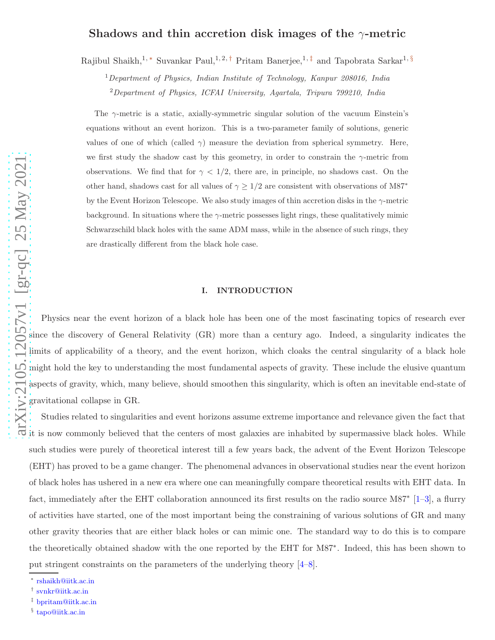# $\lim_{\alpha \to \infty} \frac{2105.12057v1}{\alpha}$  [gr-qc] 25 May 2021

# Shadows and thin accretion disk images of the  $\gamma$ -metric

Rajibul Shaikh,<sup>1,\*</sup> Suvankar Paul,<sup>1,2,[†](#page-0-1)</sup> Pritam Banerjee,<sup>1,[‡](#page-0-2)</sup> and Tapobrata Sarkar<sup>1,[§](#page-0-3)</sup>

<sup>1</sup>*Department of Physics, Indian Institute of Technology, Kanpur 208016, India* <sup>2</sup>*Department of Physics, ICFAI University, Agartala, Tripura 799210, India*

The  $\gamma$ -metric is a static, axially-symmetric singular solution of the vacuum Einstein's equations without an event horizon. This is a two-parameter family of solutions, generic values of one of which (called  $\gamma$ ) measure the deviation from spherical symmetry. Here, we first study the shadow cast by this geometry, in order to constrain the  $\gamma$ -metric from observations. We find that for  $\gamma < 1/2$ , there are, in principle, no shadows cast. On the other hand, shadows cast for all values of  $\gamma \geq 1/2$  are consistent with observations of  $\text{M87}^*$ by the Event Horizon Telescope. We also study images of thin accretion disks in the  $\gamma$ -metric background. In situations where the  $\gamma$ -metric possesses light rings, these qualitatively mimic Schwarzschild black holes with the same ADM mass, while in the absence of such rings, they are drastically different from the black hole case.

## I. INTRODUCTION

Physics near the event horizon of a black hole has been one of the most fascinating topics of research ever since the discovery of General Relativity (GR) more than a century ago. Indeed, a singularity indicates the limits of applicability of a theory, and the event horizon, which cloaks the central singularity of a black hole might hold the key to understanding the most fundamental aspects of gravity. These include the elusive quantum aspects of gravity, which, many believe, should smoothen this singularity, which is often an inevitable end-state of gravitational collapse in GR.

Studies related to singularities and event horizons assume extreme importance and relevance given the fact that it is now commonly believed that the centers of most galaxies are inhabited by supermassive black holes. While such studies were purely of theoretical interest till a few years back, the advent of the Event Horizon Telescope (EHT) has proved to be a game changer. The phenomenal advances in observational studies near the event horizon of black holes has ushered in a new era where one can meaningfully compare theoretical results with EHT data. In fact, immediately after the EHT collaboration announced its first results on the radio source M87<sup>\*</sup> [[1](#page-12-0)–[3\]](#page-12-1), a flurry of activities have started, one of the most important being the constraining of various solutions of GR and many other gravity theories that are either black holes or can mimic one. The standard way to do this is to compare the theoretically obtained shadow with the one reported by the EHT for M87 ∗ . Indeed, this has been shown to put stringent constraints on the parameters of the underlying theory [ [4](#page-12-2) – [8](#page-12-3)].

<span id="page-0-0"></span><sup>∗</sup> [rshaikh@iitk.ac.in](mailto:rshaikh@iitk.ac.in)

<span id="page-0-1"></span><sup>†</sup> [svnkr@iitk.ac.in](mailto:svnkr@iitk.ac.in)

<span id="page-0-2"></span><sup>‡</sup> [bpritam@iitk.ac.in](mailto:bpritam@iitk.ac.in)

<span id="page-0-3"></span><sup>§</sup> [tapo@iitk.ac.in](mailto:tapo@iitk.ac.in)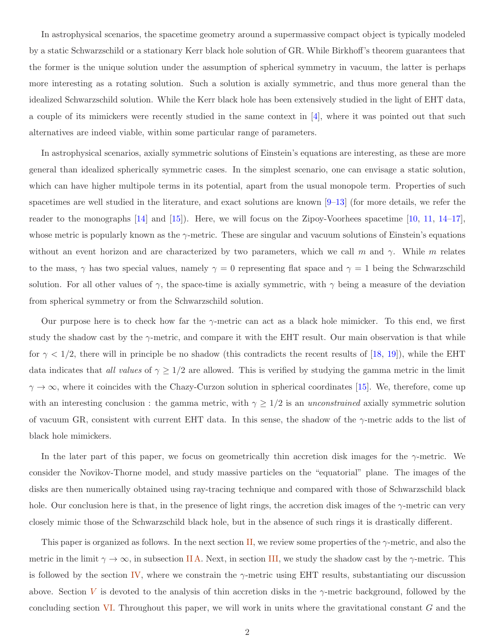In astrophysical scenarios, the spacetime geometry around a supermassive compact object is typically modeled by a static Schwarzschild or a stationary Kerr black hole solution of GR. While Birkhoff's theorem guarantees that the former is the unique solution under the assumption of spherical symmetry in vacuum, the latter is perhaps more interesting as a rotating solution. Such a solution is axially symmetric, and thus more general than the idealized Schwarzschild solution. While the Kerr black hole has been extensively studied in the light of EHT data, a couple of its mimickers were recently studied in the same context in [\[4](#page-12-2)], where it was pointed out that such alternatives are indeed viable, within some particular range of parameters.

In astrophysical scenarios, axially symmetric solutions of Einstein's equations are interesting, as these are more general than idealized spherically symmetric cases. In the simplest scenario, one can envisage a static solution, which can have higher multipole terms in its potential, apart from the usual monopole term. Properties of such spacetimes are well studied in the literature, and exact solutions are known  $[9-13]$  (for more details, we refer the reader to the monographs [\[14](#page-12-6)] and [\[15](#page-12-7)]). Here, we will focus on the Zipoy-Voorhees spacetime [\[10,](#page-12-8) [11](#page-12-9), [14](#page-12-6)[–17\]](#page-13-0), whose metric is popularly known as the  $\gamma$ -metric. These are singular and vacuum solutions of Einstein's equations without an event horizon and are characterized by two parameters, which we call m and  $\gamma$ . While m relates to the mass,  $\gamma$  has two special values, namely  $\gamma = 0$  representing flat space and  $\gamma = 1$  being the Schwarzschild solution. For all other values of  $\gamma$ , the space-time is axially symmetric, with  $\gamma$  being a measure of the deviation from spherical symmetry or from the Schwarzschild solution.

Our purpose here is to check how far the  $\gamma$ -metric can act as a black hole mimicker. To this end, we first study the shadow cast by the  $\gamma$ -metric, and compare it with the EHT result. Our main observation is that while for  $\gamma$  < 1/2, there will in principle be no shadow (this contradicts the recent results of [\[18](#page-13-1), [19](#page-13-2)]), while the EHT data indicates that *all values* of  $\gamma \geq 1/2$  are allowed. This is verified by studying the gamma metric in the limit  $\gamma \to \infty$ , where it coincides with the Chazy-Curzon solution in spherical coordinates [\[15\]](#page-12-7). We, therefore, come up with an interesting conclusion : the gamma metric, with  $\gamma \geq 1/2$  is an *unconstrained* axially symmetric solution of vacuum GR, consistent with current EHT data. In this sense, the shadow of the  $\gamma$ -metric adds to the list of black hole mimickers.

In the later part of this paper, we focus on geometrically thin accretion disk images for the  $\gamma$ -metric. We consider the Novikov-Thorne model, and study massive particles on the "equatorial" plane. The images of the disks are then numerically obtained using ray-tracing technique and compared with those of Schwarzschild black hole. Our conclusion here is that, in the presence of light rings, the accretion disk images of the  $\gamma$ -metric can very closely mimic those of the Schwarzschild black hole, but in the absence of such rings it is drastically different.

This paper is organized as follows. In the next section [II,](#page-2-0) we review some properties of the  $\gamma$ -metric, and also the metric in the limit  $\gamma \to \infty$ , in subsection IIA. Next, in section [III,](#page-4-0) we study the shadow cast by the  $\gamma$ -metric. This is followed by the section [IV,](#page-7-0) where we constrain the  $\gamma$ -metric using EHT results, substantiating our discussion above. Section [V](#page-9-0) is devoted to the analysis of thin accretion disks in the  $\gamma$ -metric background, followed by the concluding section  $VI$ . Throughout this paper, we will work in units where the gravitational constant  $G$  and the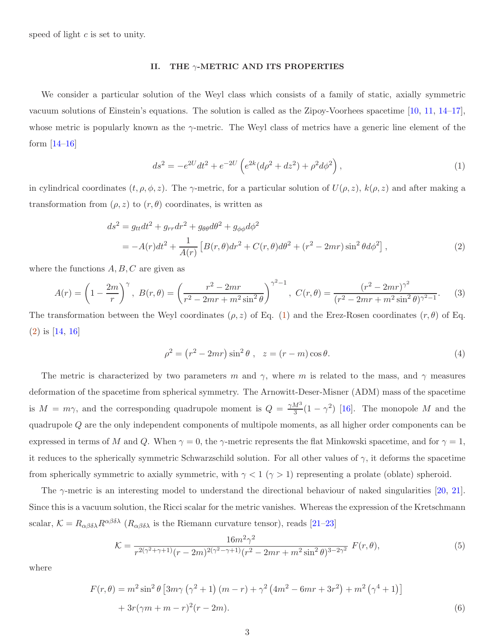speed of light  $c$  is set to unity.

# <span id="page-2-0"></span>II. THE  $\gamma$ -METRIC AND ITS PROPERTIES

We consider a particular solution of the Weyl class which consists of a family of static, axially symmetric vacuum solutions of Einstein's equations. The solution is called as the Zipoy-Voorhees spacetime [\[10](#page-12-8), [11,](#page-12-9) [14](#page-12-6)[–17\]](#page-13-0), whose metric is popularly known as the  $\gamma$ -metric. The Weyl class of metrics have a generic line element of the form  $[14–16]$  $[14–16]$  $[14–16]$ 

<span id="page-2-2"></span><span id="page-2-1"></span>
$$
ds^{2} = -e^{2U}dt^{2} + e^{-2U}\left(e^{2k}(d\rho^{2} + dz^{2}) + \rho^{2}d\phi^{2}\right),
$$
\n(1)

in cylindrical coordinates  $(t, \rho, \phi, z)$ . The  $\gamma$ -metric, for a particular solution of  $U(\rho, z)$ ,  $k(\rho, z)$  and after making a transformation from  $(\rho, z)$  to  $(r, \theta)$  coordinates, is written as

$$
ds^{2} = g_{tt}dt^{2} + g_{rr}dr^{2} + g_{\theta\theta}d\theta^{2} + g_{\phi\phi}d\phi^{2}
$$
  
=  $-A(r)dt^{2} + \frac{1}{A(r)} \left[ B(r,\theta)dr^{2} + C(r,\theta)d\theta^{2} + (r^{2} - 2mr)\sin^{2}\theta d\phi^{2} \right],$  (2)

where the functions  $A, B, C$  are given as

$$
A(r) = \left(1 - \frac{2m}{r}\right)^{\gamma}, \ B(r, \theta) = \left(\frac{r^2 - 2mr}{r^2 - 2mr + m^2 \sin^2\theta}\right)^{\gamma^2 - 1}, \ C(r, \theta) = \frac{(r^2 - 2mr)^{\gamma^2}}{(r^2 - 2mr + m^2 \sin^2\theta)^{\gamma^2 - 1}}.
$$
 (3)

The transformation between the Weyl coordinates  $(\rho, z)$  of Eq. [\(1\)](#page-2-1) and the Erez-Rosen coordinates  $(r, \theta)$  of Eq. [\(2\)](#page-2-2) is [\[14](#page-12-6), [16](#page-13-3)]

$$
\rho^2 = \left(r^2 - 2mr\right)\sin^2\theta \;, \quad z = \left(r - m\right)\cos\theta. \tag{4}
$$

The metric is characterized by two parameters m and  $\gamma$ , where m is related to the mass, and  $\gamma$  measures deformation of the spacetime from spherical symmetry. The Arnowitt-Deser-Misner (ADM) mass of the spacetime is  $M = m\gamma$ , and the corresponding quadrupole moment is  $Q = \frac{\gamma M^3}{3}$  $\frac{M^3}{3}(1-\gamma^2)$  [\[16\]](#page-13-3). The monopole M and the quadrupole Q are the only independent components of multipole moments, as all higher order components can be expressed in terms of M and Q. When  $\gamma = 0$ , the  $\gamma$ -metric represents the flat Minkowski spacetime, and for  $\gamma = 1$ , it reduces to the spherically symmetric Schwarzschild solution. For all other values of  $\gamma$ , it deforms the spacetime from spherically symmetric to axially symmetric, with  $\gamma < 1$  ( $\gamma > 1$ ) representing a prolate (oblate) spheroid.

The  $\gamma$ -metric is an interesting model to understand the directional behaviour of naked singularities [\[20,](#page-13-4) [21\]](#page-13-5). Since this is a vacuum solution, the Ricci scalar for the metric vanishes. Whereas the expression of the Kretschmann scalar,  $K = R_{\alpha\beta\delta\lambda}R^{\alpha\beta\delta\lambda}$  ( $R_{\alpha\beta\delta\lambda}$  is the Riemann curvature tensor), reads [\[21](#page-13-5)[–23](#page-13-6)]

<span id="page-2-3"></span>
$$
\mathcal{K} = \frac{16m^2\gamma^2}{r^{2(\gamma^2 + \gamma + 1)}(r - 2m)^{2(\gamma^2 - \gamma + 1)}(r^2 - 2mr + m^2\sin^2\theta)^{3 - 2\gamma^2}} F(r, \theta),\tag{5}
$$

where

$$
F(r,\theta) = m^2 \sin^2 \theta \left[ 3m\gamma \left( \gamma^2 + 1 \right) (m - r) + \gamma^2 \left( 4m^2 - 6mr + 3r^2 \right) + m^2 \left( \gamma^4 + 1 \right) \right] + 3r(\gamma m + m - r)^2 (r - 2m).
$$
 (6)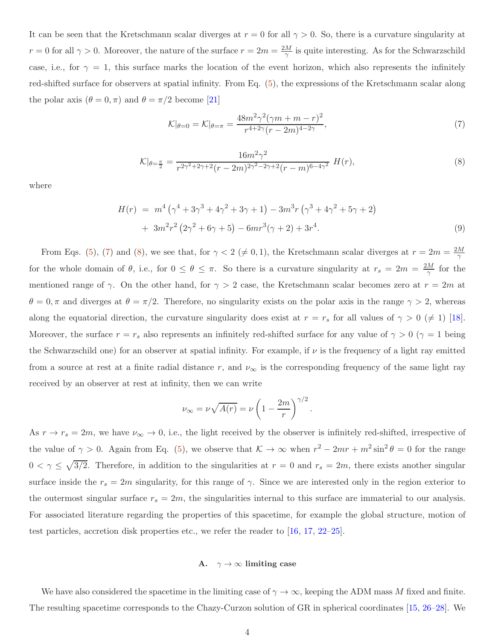It can be seen that the Kretschmann scalar diverges at  $r = 0$  for all  $\gamma > 0$ . So, there is a curvature singularity at  $r = 0$  for all  $\gamma > 0$ . Moreover, the nature of the surface  $r = 2m = \frac{2M}{\gamma}$  is quite interesting. As for the Schwarzschild case, i.e., for  $\gamma = 1$ , this surface marks the location of the event horizon, which also represents the infinitely red-shifted surface for observers at spatial infinity. From Eq. [\(5\)](#page-2-3), the expressions of the Kretschmann scalar along the polar axis  $(\theta = 0, \pi)$  and  $\theta = \pi/2$  become [\[21](#page-13-5)]

<span id="page-3-1"></span>
$$
\mathcal{K}|_{\theta=0} = \mathcal{K}|_{\theta=\pi} = \frac{48m^2\gamma^2(\gamma m + m - r)^2}{r^{4+2\gamma}(r - 2m)^{4-2\gamma}},\tag{7}
$$

<span id="page-3-2"></span>
$$
\mathcal{K}|_{\theta=\frac{\pi}{2}} = \frac{16m^2\gamma^2}{r^{2\gamma^2+2\gamma+2}(r-2m)^{2\gamma^2-2\gamma+2}(r-m)^{6-4\gamma^2}} H(r),\tag{8}
$$

where

$$
H(r) = m4 (\gamma4 + 3\gamma3 + 4\gamma2 + 3\gamma + 1) - 3m3r (\gamma3 + 4\gamma2 + 5\gamma + 2) + 3m2r2 (2\gamma2 + 6\gamma + 5) - 6mr3(\gamma + 2) + 3r4.
$$
\n(9)

From Eqs. [\(5\)](#page-2-3), [\(7\)](#page-3-1) and [\(8\)](#page-3-2), we see that, for  $\gamma < 2 \ (\neq 0, 1)$ , the Kretschmann scalar diverges at  $r = 2m = \frac{2M}{\gamma}$ γ for the whole domain of  $\theta$ , i.e., for  $0 \le \theta \le \pi$ . So there is a curvature singularity at  $r_s = 2m = \frac{2M}{\gamma}$  $\frac{M}{\gamma}$  for the mentioned range of  $\gamma$ . On the other hand, for  $\gamma > 2$  case, the Kretschmann scalar becomes zero at  $r = 2m$  at  $\theta = 0, \pi$  and diverges at  $\theta = \pi/2$ . Therefore, no singularity exists on the polar axis in the range  $\gamma > 2$ , whereas along the equatorial direction, the curvature singularity does exist at  $r = r_s$  for all values of  $\gamma > 0 \ (\neq 1)$  [[18\]](#page-13-1). Moreover, the surface  $r = r_s$  also represents an infinitely red-shifted surface for any value of  $\gamma > 0$  ( $\gamma = 1$  being the Schwarzschild one) for an observer at spatial infinity. For example, if  $\nu$  is the frequency of a light ray emitted from a source at rest at a finite radial distance r, and  $\nu_{\infty}$  is the corresponding frequency of the same light ray received by an observer at rest at infinity, then we can write

$$
\nu_{\infty} = \nu \sqrt{A(r)} = \nu \left( 1 - \frac{2m}{r} \right)^{\gamma/2}.
$$

As  $r \to r_s = 2m$ , we have  $\nu_{\infty} \to 0$ , i.e., the light received by the observer is infinitely red-shifted, irrespective of the value of  $\gamma > 0$ . Again from Eq. [\(5\)](#page-2-3), we observe that  $\mathcal{K} \to \infty$  when  $r^2 - 2mr + m^2 \sin^2 \theta = 0$  for the range  $0 < \gamma \leq \sqrt{3/2}$ . Therefore, in addition to the singularities at  $r = 0$  and  $r_s = 2m$ , there exists another singular surface inside the  $r_s = 2m$  singularity, for this range of  $\gamma$ . Since we are interested only in the region exterior to the outermost singular surface  $r_s = 2m$ , the singularities internal to this surface are immaterial to our analysis. For associated literature regarding the properties of this spacetime, for example the global structure, motion of test particles, accretion disk properties etc., we refer the reader to [\[16](#page-13-3), [17,](#page-13-0) [22](#page-13-7)[–25\]](#page-13-8).

# <span id="page-3-0"></span>A.  $\gamma \to \infty$  limiting case

We have also considered the spacetime in the limiting case of  $\gamma \to \infty$ , keeping the ADM mass M fixed and finite. The resulting spacetime corresponds to the Chazy-Curzon solution of GR in spherical coordinates [\[15](#page-12-7), [26](#page-13-9)[–28](#page-13-10)]. We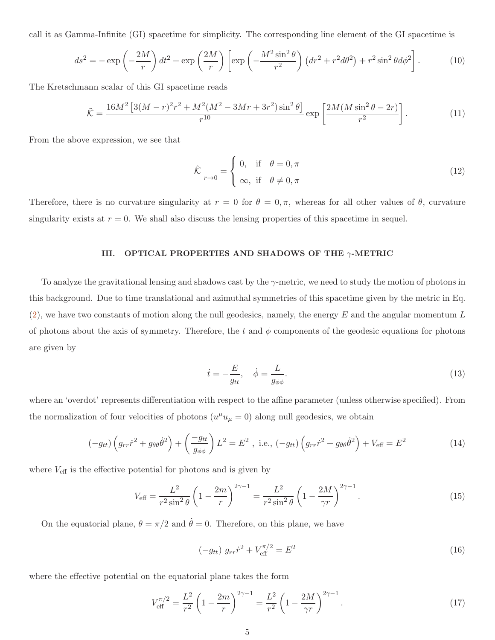call it as Gamma-Infinite (GI) spacetime for simplicity. The corresponding line element of the GI spacetime is

$$
ds^{2} = -\exp\left(-\frac{2M}{r}\right)dt^{2} + \exp\left(\frac{2M}{r}\right)\left[\exp\left(-\frac{M^{2}\sin^{2}\theta}{r^{2}}\right)\left(dr^{2} + r^{2}d\theta^{2}\right) + r^{2}\sin^{2}\theta d\phi^{2}\right].
$$
 (10)

The Kretschmann scalar of this GI spacetime reads

$$
\tilde{\mathcal{K}} = \frac{16M^2 \left[ 3(M-r)^2 r^2 + M^2 (M^2 - 3Mr + 3r^2) \sin^2 \theta \right]}{r^{10}} \exp \left[ \frac{2M(M \sin^2 \theta - 2r)}{r^2} \right].
$$
\n(11)

From the above expression, we see that

$$
\tilde{\mathcal{K}}\Big|_{r\to 0} = \begin{cases} 0, & \text{if } \theta = 0, \pi \\ \infty, & \text{if } \theta \neq 0, \pi \end{cases}
$$
\n(12)

Therefore, there is no curvature singularity at  $r = 0$  for  $\theta = 0, \pi$ , whereas for all other values of  $\theta$ , curvature singularity exists at  $r = 0$ . We shall also discuss the lensing properties of this spacetime in sequel.

# <span id="page-4-0"></span>III. OPTICAL PROPERTIES AND SHADOWS OF THE  $\gamma$ -METRIC

To analyze the gravitational lensing and shadows cast by the γ-metric, we need to study the motion of photons in this background. Due to time translational and azimuthal symmetries of this spacetime given by the metric in Eq.  $(2)$ , we have two constants of motion along the null geodesics, namely, the energy E and the angular momentum L of photons about the axis of symmetry. Therefore, the t and  $\phi$  components of the geodesic equations for photons are given by

$$
\dot{t} = -\frac{E}{g_{tt}}, \quad \dot{\phi} = \frac{L}{g_{\phi\phi}}.\tag{13}
$$

where an 'overdot' represents differentiation with respect to the affine parameter (unless otherwise specified). From the normalization of four velocities of photons  $(u^{\mu}u_{\mu}=0)$  along null geodesics, we obtain

<span id="page-4-3"></span>
$$
(-g_{tt})\left(g_{rr}\dot{r}^2 + g_{\theta\theta}\dot{\theta}^2\right) + \left(\frac{-g_{tt}}{g_{\phi\phi}}\right)L^2 = E^2 \text{ , i.e., } (-g_{tt})\left(g_{rr}\dot{r}^2 + g_{\theta\theta}\dot{\theta}^2\right) + V_{\text{eff}} = E^2 \tag{14}
$$

where  $V_{\text{eff}}$  is the effective potential for photons and is given by

$$
V_{\text{eff}} = \frac{L^2}{r^2 \sin^2 \theta} \left( 1 - \frac{2m}{r} \right)^{2\gamma - 1} = \frac{L^2}{r^2 \sin^2 \theta} \left( 1 - \frac{2M}{\gamma r} \right)^{2\gamma - 1}.
$$
 (15)

On the equatorial plane,  $\theta = \pi/2$  and  $\dot{\theta} = 0$ . Therefore, on this plane, we have

<span id="page-4-1"></span>
$$
(-g_{tt}) g_{rr} \dot{r}^2 + V_{\text{eff}}^{\pi/2} = E^2
$$
 (16)

where the effective potential on the equatorial plane takes the form

<span id="page-4-2"></span>
$$
V_{\text{eff}}^{\pi/2} = \frac{L^2}{r^2} \left( 1 - \frac{2m}{r} \right)^{2\gamma - 1} = \frac{L^2}{r^2} \left( 1 - \frac{2M}{\gamma r} \right)^{2\gamma - 1}.
$$
 (17)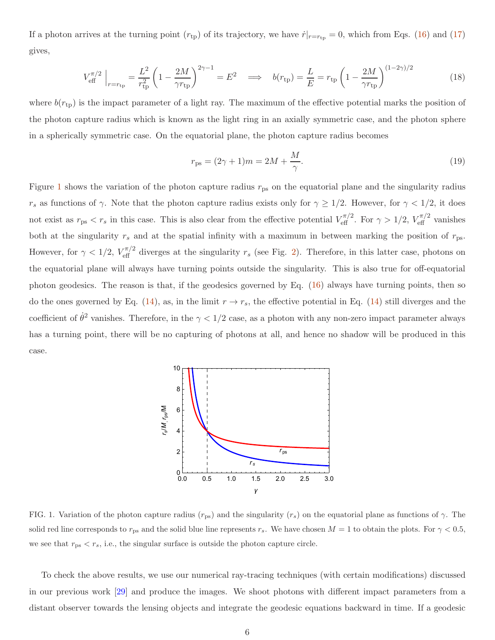If a photon arrives at the turning point  $(r_{tp})$  of its trajectory, we have  $\dot{r}|_{r=r_{tp}} = 0$ , which from Eqs. [\(16\)](#page-4-1) and [\(17\)](#page-4-2) gives,

$$
V_{\text{eff}}^{\pi/2} \Big|_{r=r_{\text{tp}}} = \frac{L^2}{r_{\text{tp}}^2} \left( 1 - \frac{2M}{\gamma r_{\text{tp}}} \right)^{2\gamma - 1} = E^2 \quad \implies \quad b(r_{\text{tp}}) = \frac{L}{E} = r_{\text{tp}} \left( 1 - \frac{2M}{\gamma r_{\text{tp}}} \right)^{(1 - 2\gamma)/2} \tag{18}
$$

where  $b(r_{tp})$  is the impact parameter of a light ray. The maximum of the effective potential marks the position of the photon capture radius which is known as the light ring in an axially symmetric case, and the photon sphere in a spherically symmetric case. On the equatorial plane, the photon capture radius becomes

$$
r_{\rm ps} = (2\gamma + 1)m = 2M + \frac{M}{\gamma}.
$$
 (19)

Figure [1](#page-5-0) shows the variation of the photon capture radius  $r_{\rm ps}$  on the equatorial plane and the singularity radius  $r_s$  as functions of  $\gamma$ . Note that the photon capture radius exists only for  $\gamma \geq 1/2$ . However, for  $\gamma < 1/2$ , it does not exist as  $r_{\rm ps} < r_s$  in this case. This is also clear from the effective potential  $V_{\rm eff}^{\pi/2}$ . For  $\gamma > 1/2$ ,  $V_{\rm eff}^{\pi/2}$  vanishes both at the singularity  $r_s$  and at the spatial infinity with a maximum in between marking the position of  $r_{\rm ps}$ . However, for  $\gamma < 1/2$ ,  $V_{\text{eff}}^{\pi/2}$  diverges at the singularity  $r_s$  (see Fig. [2\)](#page-6-0). Therefore, in this latter case, photons on the equatorial plane will always have turning points outside the singularity. This is also true for off-equatorial photon geodesics. The reason is that, if the geodesics governed by Eq. [\(16\)](#page-4-1) always have turning points, then so do the ones governed by Eq. [\(14\)](#page-4-3), as, in the limit  $r \to r_s$ , the effective potential in Eq. (14) still diverges and the coefficient of  $\dot{\theta}^2$  vanishes. Therefore, in the  $\gamma < 1/2$  case, as a photon with any non-zero impact parameter always has a turning point, there will be no capturing of photons at all, and hence no shadow will be produced in this case.



<span id="page-5-0"></span>FIG. 1. Variation of the photon capture radius  $(r_{\rm ps})$  and the singularity  $(r_s)$  on the equatorial plane as functions of  $\gamma$ . The solid red line corresponds to  $r_{ps}$  and the solid blue line represents  $r_s$ . We have chosen  $M = 1$  to obtain the plots. For  $\gamma < 0.5$ , we see that  $r_{\text{ps}} < r_s$ , i.e., the singular surface is outside the photon capture circle.

To check the above results, we use our numerical ray-tracing techniques (with certain modifications) discussed in our previous work [\[29](#page-13-11)] and produce the images. We shoot photons with different impact parameters from a distant observer towards the lensing objects and integrate the geodesic equations backward in time. If a geodesic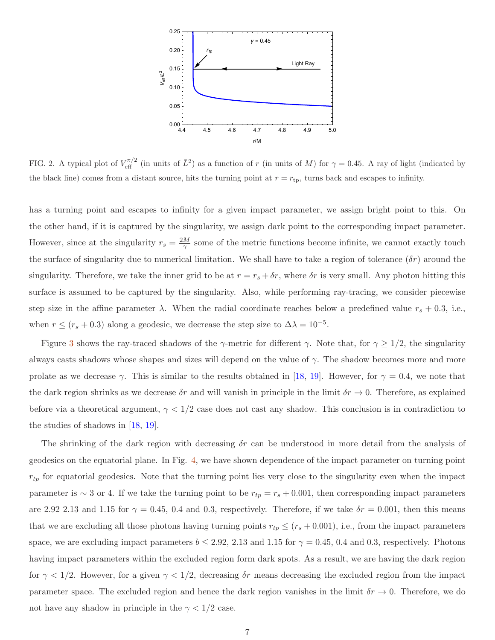

<span id="page-6-0"></span>FIG. 2. A typical plot of  $V_{\text{eff}}^{\pi/2}$  (in units of  $\bar{L}^2$ ) as a function of r (in units of M) for  $\gamma = 0.45$ . A ray of light (indicated by the black line) comes from a distant source, hits the turning point at  $r = r_{\text{tp}}$ , turns back and escapes to infinity.

has a turning point and escapes to infinity for a given impact parameter, we assign bright point to this. On the other hand, if it is captured by the singularity, we assign dark point to the corresponding impact parameter. However, since at the singularity  $r_s = \frac{2M}{\gamma}$  $\frac{M}{\gamma}$  some of the metric functions become infinite, we cannot exactly touch the surface of singularity due to numerical limitation. We shall have to take a region of tolerance  $(\delta r)$  around the singularity. Therefore, we take the inner grid to be at  $r = r_s + \delta r$ , where  $\delta r$  is very small. Any photon hitting this surface is assumed to be captured by the singularity. Also, while performing ray-tracing, we consider piecewise step size in the affine parameter  $\lambda$ . When the radial coordinate reaches below a predefined value  $r_s + 0.3$ , i.e., when  $r \le (r_s + 0.3)$  along a geodesic, we decrease the step size to  $\Delta \lambda = 10^{-5}$ .

Figure [3](#page-7-1) shows the ray-traced shadows of the  $\gamma$ -metric for different  $\gamma$ . Note that, for  $\gamma \geq 1/2$ , the singularity always casts shadows whose shapes and sizes will depend on the value of  $\gamma$ . The shadow becomes more and more prolate as we decrease  $\gamma$ . This is similar to the results obtained in [\[18](#page-13-1), [19](#page-13-2)]. However, for  $\gamma = 0.4$ , we note that the dark region shrinks as we decrease  $\delta r$  and will vanish in principle in the limit  $\delta r \to 0$ . Therefore, as explained before via a theoretical argument,  $\gamma < 1/2$  case does not cast any shadow. This conclusion is in contradiction to the studies of shadows in [\[18](#page-13-1), [19\]](#page-13-2).

The shrinking of the dark region with decreasing  $\delta r$  can be understood in more detail from the analysis of geodesics on the equatorial plane. In Fig. [4,](#page-7-2) we have shown dependence of the impact parameter on turning point  $r_{tp}$  for equatorial geodesics. Note that the turning point lies very close to the singularity even when the impact parameter is  $\sim 3$  or 4. If we take the turning point to be  $r_{tp} = r_s + 0.001$ , then corresponding impact parameters are 2.92 2.13 and 1.15 for  $\gamma = 0.45$ , 0.4 and 0.3, respectively. Therefore, if we take  $\delta r = 0.001$ , then this means that we are excluding all those photons having turning points  $r_{tp} \le (r_s + 0.001)$ , i.e., from the impact parameters space, we are excluding impact parameters  $b \le 2.92$ , 2.13 and 1.15 for  $\gamma = 0.45$ , 0.4 and 0.3, respectively. Photons having impact parameters within the excluded region form dark spots. As a result, we are having the dark region for  $\gamma$  < 1/2. However, for a given  $\gamma$  < 1/2, decreasing  $\delta r$  means decreasing the excluded region from the impact parameter space. The excluded region and hence the dark region vanishes in the limit  $\delta r \to 0$ . Therefore, we do not have any shadow in principle in the  $\gamma < 1/2$  case.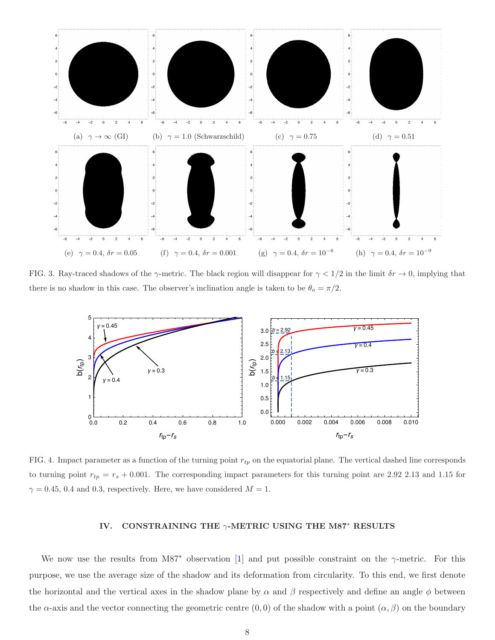

<span id="page-7-1"></span>FIG. 3. Ray-traced shadows of the  $\gamma$ -metric. The black region will disappear for  $\gamma < 1/2$  in the limit  $\delta r \to 0$ , implying that there is no shadow in this case. The observer's inclination angle is taken to be  $\theta_o = \pi/2$ .



<span id="page-7-2"></span>FIG. 4. Impact parameter as a function of the turning point  $r_{tp}$  on the equatorial plane. The vertical dashed line corresponds to turning point  $r_{tp} = r_s + 0.001$ . The corresponding impact parameters for this turning point are 2.92 2.13 and 1.15 for  $\gamma = 0.45, 0.4$  and 0.3, respectively. Here, we have considered  $M = 1$ .

# <span id="page-7-0"></span>IV. CONSTRAINING THE  $\gamma$ -METRIC USING THE M87<sup>∗</sup> RESULTS

We now use the results from M87<sup>∗</sup> observation [\[1](#page-12-0)] and put possible constraint on the  $\gamma$ -metric. For this purpose, we use the average size of the shadow and its deformation from circularity. To this end, we first denote the horizontal and the vertical axes in the shadow plane by  $\alpha$  and  $\beta$  respectively and define an angle  $\phi$  between the  $\alpha$ -axis and the vector connecting the geometric centre  $(0,0)$  of the shadow with a point  $(\alpha,\beta)$  on the boundary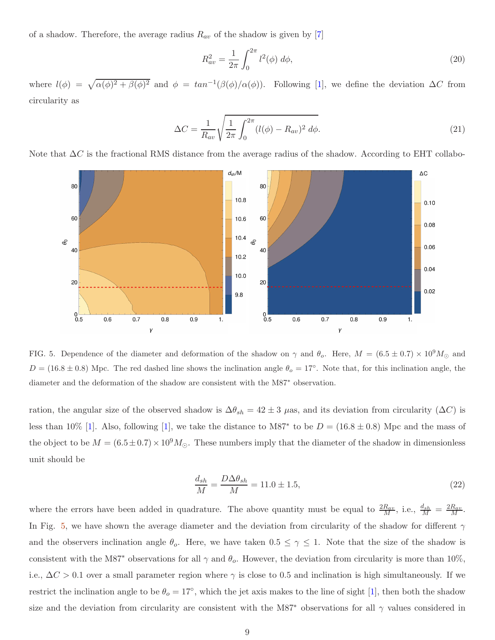of a shadow. Therefore, the average radius  $R_{av}$  of the shadow is given by [\[7\]](#page-12-10)

$$
R_{av}^2 = \frac{1}{2\pi} \int_0^{2\pi} l^2(\phi) \, d\phi,\tag{20}
$$

where  $l(\phi) = \sqrt{\alpha(\phi)^2 + \beta(\phi)^2}$  and  $\phi = \tan^{-1}(\beta(\phi)/\alpha(\phi))$ . Following [\[1](#page-12-0)], we define the deviation  $\Delta C$  from circularity as

$$
\Delta C = \frac{1}{R_{av}} \sqrt{\frac{1}{2\pi} \int_0^{2\pi} (l(\phi) - R_{av})^2 \ d\phi}.
$$
\n(21)

Note that  $\Delta C$  is the fractional RMS distance from the average radius of the shadow. According to EHT collabo-



<span id="page-8-0"></span>FIG. 5. Dependence of the diameter and deformation of the shadow on  $\gamma$  and  $\theta_o$ . Here,  $M = (6.5 \pm 0.7) \times 10^9 M_{\odot}$  and  $D = (16.8 \pm 0.8)$  Mpc. The red dashed line shows the inclination angle  $\theta_o = 17°$ . Note that, for this inclination angle, the diameter and the deformation of the shadow are consistent with the M87<sup>∗</sup> observation.

ration, the angular size of the observed shadow is  $\Delta\theta_{sh} = 42 \pm 3$  µas, and its deviation from circularity ( $\Delta C$ ) is less than 10% [\[1](#page-12-0)]. Also, following [1], we take the distance to M87<sup>∗</sup> to be  $D = (16.8 \pm 0.8)$  Mpc and the mass of the object to be  $M = (6.5 \pm 0.7) \times 10^9 M_{\odot}$ . These numbers imply that the diameter of the shadow in dimensionless unit should be

$$
\frac{d_{sh}}{M} = \frac{D\Delta\theta_{sh}}{M} = 11.0 \pm 1.5,\tag{22}
$$

where the errors have been added in quadrature. The above quantity must be equal to  $\frac{2R_{av}}{M}$ , i.e.,  $\frac{d_{sh}}{M} = \frac{2R_{av}}{M}$ . In Fig. [5,](#page-8-0) we have shown the average diameter and the deviation from circularity of the shadow for different  $\gamma$ and the observers inclination angle  $\theta_o$ . Here, we have taken  $0.5 \leq \gamma \leq 1$ . Note that the size of the shadow is consistent with the M87<sup>∗</sup> observations for all  $\gamma$  and  $\theta_o$ . However, the deviation from circularity is more than 10%, i.e.,  $\Delta C > 0.1$  over a small parameter region where  $\gamma$  is close to 0.5 and inclination is high simultaneously. If we restrict the inclination angle to be  $\theta_o = 17^{\circ}$ , which the jet axis makes to the line of sight [\[1\]](#page-12-0), then both the shadow size and the deviation from circularity are consistent with the M87<sup>∗</sup> observations for all  $\gamma$  values considered in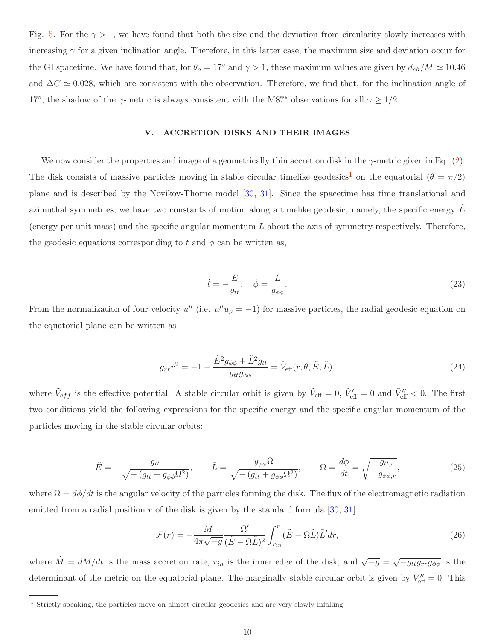Fig. [5.](#page-8-0) For the  $\gamma > 1$ , we have found that both the size and the deviation from circularity slowly increases with increasing  $\gamma$  for a given inclination angle. Therefore, in this latter case, the maximum size and deviation occur for the GI spacetime. We have found that, for  $\theta_o = 17^\circ$  and  $\gamma > 1$ , these maximum values are given by  $d_{sh}/M \simeq 10.46$ and  $\Delta C \simeq 0.028$ , which are consistent with the observation. Therefore, we find that, for the inclination angle of 17<sup>°</sup>, the shadow of the  $\gamma$ -metric is always consistent with the M87<sup>∗</sup> observations for all  $\gamma \ge 1/2$ .

# <span id="page-9-0"></span>V. ACCRETION DISKS AND THEIR IMAGES

We now consider the properties and image of a geometrically thin accretion disk in the  $\gamma$ -metric given in Eq. [\(2\)](#page-2-2). The disk consists of massive particles moving in stable circular timelike geodesics<sup>[1](#page-9-1)</sup> on the equatorial ( $\theta = \pi/2$ ) plane and is described by the Novikov-Thorne model [\[30](#page-13-12), [31\]](#page-13-13). Since the spacetime has time translational and azimuthal symmetries, we have two constants of motion along a timelike geodesic, namely, the specific energy  $E$ (energy per unit mass) and the specific angular momentum  $\tilde{L}$  about the axis of symmetry respectively. Therefore, the geodesic equations corresponding to t and  $\phi$  can be written as,

$$
\dot{t} = -\frac{\tilde{E}}{g_{tt}}, \quad \dot{\phi} = \frac{\tilde{L}}{g_{\phi\phi}}.\tag{23}
$$

From the normalization of four velocity  $u^{\mu}$  (i.e.  $u^{\mu}u_{\mu} = -1$ ) for massive particles, the radial geodesic equation on the equatorial plane can be written as

$$
g_{rr}\dot{r}^2 = -1 - \frac{\tilde{E}^2 g_{\phi\phi} + \tilde{L}^2 g_{tt}}{g_{tt}g_{\phi\phi}} = \tilde{V}_{\text{eff}}(r,\theta,\tilde{E},\tilde{L}),\tag{24}
$$

where  $\tilde{V}_{eff}$  is the effective potential. A stable circular orbit is given by  $\tilde{V}_{eff} = 0$ ,  $\tilde{V}'_{eff} = 0$  and  $\tilde{V}''_{eff} < 0$ . The first two conditions yield the following expressions for the specific energy and the specific angular momentum of the particles moving in the stable circular orbits:

$$
\tilde{E} = -\frac{g_{tt}}{\sqrt{-\left(g_{tt} + g_{\phi\phi}\Omega^2\right)}}, \qquad \tilde{L} = \frac{g_{\phi\phi}\Omega}{\sqrt{-\left(g_{tt} + g_{\phi\phi}\Omega^2\right)}}, \qquad \Omega = \frac{d\phi}{dt} = \sqrt{-\frac{g_{tt,r}}{g_{\phi\phi,r}}},\tag{25}
$$

where  $\Omega = d\phi/dt$  is the angular velocity of the particles forming the disk. The flux of the electromagnetic radiation emitted from a radial position r of the disk is given by the standard formula [\[30](#page-13-12), [31\]](#page-13-13)

$$
\mathcal{F}(r) = -\frac{\dot{M}}{4\pi\sqrt{-g}} \frac{\Omega'}{(\tilde{E} - \Omega \tilde{L})^2} \int_{r_{in}}^{r} (\tilde{E} - \Omega \tilde{L}) \tilde{L}' dr,
$$
\n(26)

where  $\dot{M} = dM/dt$  is the mass accretion rate,  $r_{in}$  is the inner edge of the disk, and  $\sqrt{-g} = \sqrt{-g_{tt}g_{rr}g_{\phi\phi}}$  is the determinant of the metric on the equatorial plane. The marginally stable circular orbit is given by  $V''_{\text{eff}} = 0$ . This

<span id="page-9-1"></span><sup>&</sup>lt;sup>1</sup> Strictly speaking, the particles move on almost circular geodesics and are very slowly infalling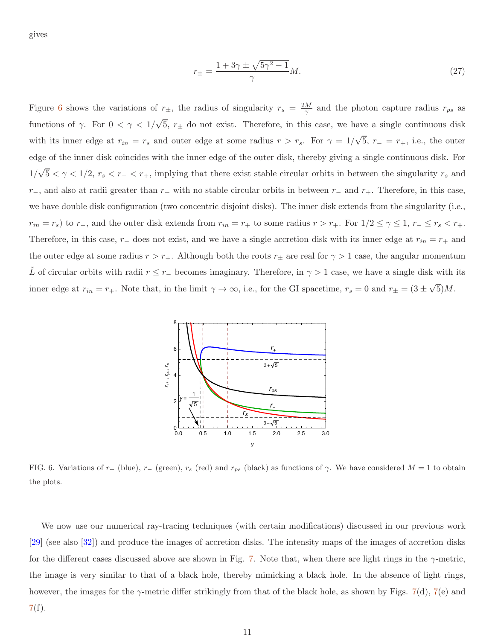gives

$$
r_{\pm} = \frac{1 + 3\gamma \pm \sqrt{5\gamma^2 - 1}}{\gamma} M. \tag{27}
$$

Figure [6](#page-10-0) shows the variations of  $r_{\pm}$ , the radius of singularity  $r_s = \frac{2M}{\gamma}$  $\frac{M}{\gamma}$  and the photon capture radius  $r_{ps}$  as functions of  $\gamma$ . For  $0 < \gamma < 1/\sqrt{5}$ ,  $r_{\pm}$  do not exist. Therefore, in this case, we have a single continuous disk with its inner edge at  $r_{in} = r_s$  and outer edge at some radius  $r > r_s$ . For  $\gamma = 1/\sqrt{5}$ ,  $r_{-} = r_{+}$ , i.e., the outer edge of the inner disk coincides with the inner edge of the outer disk, thereby giving a single continuous disk. For  $1/\sqrt{5} < \gamma < 1/2$ ,  $r_s < r_- < r_+$ , implying that there exist stable circular orbits in between the singularity  $r_s$  and r−, and also at radii greater than  $r_+$  with no stable circular orbits in between r− and r<sub>+</sub>. Therefore, in this case, we have double disk configuration (two concentric disjoint disks). The inner disk extends from the singularity (i.e.,  $r_{in} = r_s$ ) to  $r_-,$  and the outer disk extends from  $r_{in} = r_+$  to some radius  $r > r_+$ . For  $1/2 \le \gamma \le 1$ ,  $r_- \le r_s < r_+$ . Therefore, in this case,  $r_-\,$  does not exist, and we have a single accretion disk with its inner edge at  $r_{in} = r_+\,$  and the outer edge at some radius  $r > r_+$ . Although both the roots  $r_\pm$  are real for  $\gamma > 1$  case, the angular momentum L of circular orbits with radii  $r \le r_-\$  becomes imaginary. Therefore, in  $\gamma > 1$  case, we have a single disk with its inner edge at  $r_{in} = r_{+}$ . Note that, in the limit  $\gamma \to \infty$ , i.e., for the GI spacetime,  $r_s = 0$  and  $r_{\pm} = (3 \pm \sqrt{5})M$ .



<span id="page-10-0"></span>FIG. 6. Variations of  $r_+$  (blue),  $r_-$  (green),  $r_s$  (red) and  $r_{ps}$  (black) as functions of  $\gamma$ . We have considered  $M = 1$  to obtain the plots.

We now use our numerical ray-tracing techniques (with certain modifications) discussed in our previous work [\[29\]](#page-13-11) (see also [\[32](#page-13-14)]) and produce the images of accretion disks. The intensity maps of the images of accretion disks for the different cases discussed above are shown in Fig. [7.](#page-11-1) Note that, when there are light rings in the  $\gamma$ -metric, the image is very similar to that of a black hole, thereby mimicking a black hole. In the absence of light rings, however, the images for the  $\gamma$ -metric differ strikingly from that of the black hole, as shown by Figs. [7\(](#page-11-1)d), 7(e) and [7\(](#page-11-1)f).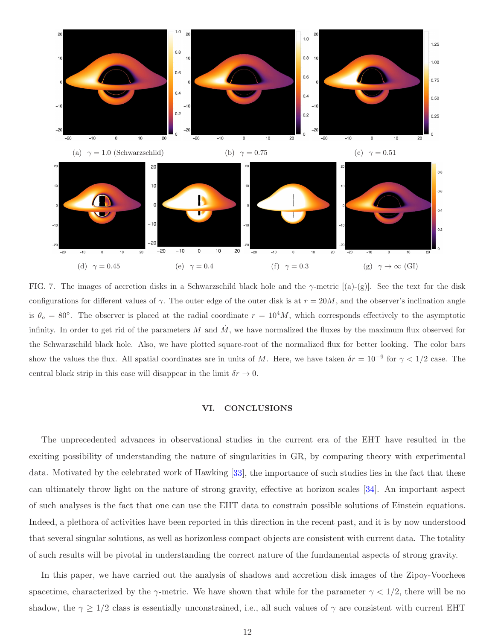

<span id="page-11-1"></span>FIG. 7. The images of accretion disks in a Schwarzschild black hole and the  $\gamma$ -metric [(a)-(g)]. See the text for the disk configurations for different values of  $\gamma$ . The outer edge of the outer disk is at  $r = 20M$ , and the observer's inclination angle is  $\theta_o = 80^\circ$ . The observer is placed at the radial coordinate  $r = 10^4 M$ , which corresponds effectively to the asymptotic infinity. In order to get rid of the parameters M and  $\dot{M}$ , we have normalized the fluxes by the maximum flux observed for the Schwarzschild black hole. Also, we have plotted square-root of the normalized flux for better looking. The color bars show the values the flux. All spatial coordinates are in units of M. Here, we have taken  $\delta r = 10^{-9}$  for  $\gamma < 1/2$  case. The central black strip in this case will disappear in the limit  $\delta r \to 0$ .

# <span id="page-11-0"></span>VI. CONCLUSIONS

The unprecedented advances in observational studies in the current era of the EHT have resulted in the exciting possibility of understanding the nature of singularities in GR, by comparing theory with experimental data. Motivated by the celebrated work of Hawking [\[33\]](#page-13-15), the importance of such studies lies in the fact that these can ultimately throw light on the nature of strong gravity, effective at horizon scales [\[34](#page-13-16)]. An important aspect of such analyses is the fact that one can use the EHT data to constrain possible solutions of Einstein equations. Indeed, a plethora of activities have been reported in this direction in the recent past, and it is by now understood that several singular solutions, as well as horizonless compact objects are consistent with current data. The totality of such results will be pivotal in understanding the correct nature of the fundamental aspects of strong gravity.

In this paper, we have carried out the analysis of shadows and accretion disk images of the Zipoy-Voorhees spacetime, characterized by the  $\gamma$ -metric. We have shown that while for the parameter  $\gamma < 1/2$ , there will be no shadow, the  $\gamma \geq 1/2$  class is essentially unconstrained, i.e., all such values of  $\gamma$  are consistent with current EHT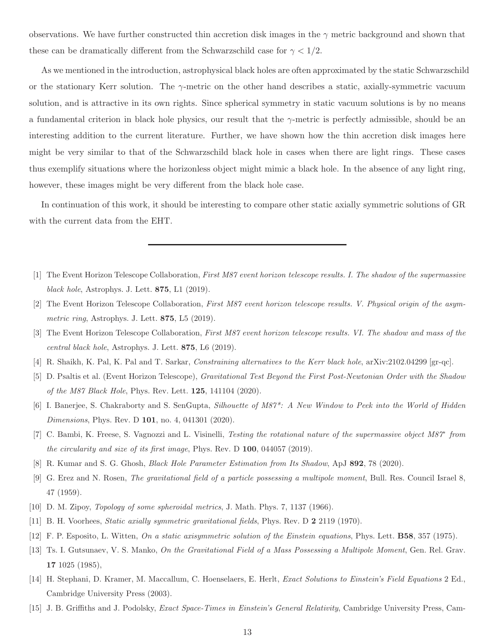observations. We have further constructed thin accretion disk images in the  $\gamma$  metric background and shown that these can be dramatically different from the Schwarzschild case for  $\gamma < 1/2$ .

As we mentioned in the introduction, astrophysical black holes are often approximated by the static Schwarzschild or the stationary Kerr solution. The  $\gamma$ -metric on the other hand describes a static, axially-symmetric vacuum solution, and is attractive in its own rights. Since spherical symmetry in static vacuum solutions is by no means a fundamental criterion in black hole physics, our result that the  $\gamma$ -metric is perfectly admissible, should be an interesting addition to the current literature. Further, we have shown how the thin accretion disk images here might be very similar to that of the Schwarzschild black hole in cases when there are light rings. These cases thus exemplify situations where the horizonless object might mimic a black hole. In the absence of any light ring, however, these images might be very different from the black hole case.

In continuation of this work, it should be interesting to compare other static axially symmetric solutions of GR with the current data from the EHT.

- <span id="page-12-0"></span>[1] The Event Horizon Telescope Collaboration, *First M87 event horizon telescope results. I. The shadow of the supermassive black hole*, Astrophys. J. Lett. 875, L1 (2019).
- [2] The Event Horizon Telescope Collaboration, *First M87 event horizon telescope results. V. Physical origin of the asymmetric ring*, Astrophys. J. Lett. 875, L5 (2019).
- <span id="page-12-1"></span>[3] The Event Horizon Telescope Collaboration, *First M87 event horizon telescope results. VI. The shadow and mass of the central black hole*, Astrophys. J. Lett. 875, L6 (2019).
- <span id="page-12-2"></span>[4] R. Shaikh, K. Pal, K. Pal and T. Sarkar, *Constraining alternatives to the Kerr black hole*, arXiv:2102.04299 [gr-qc].
- [5] D. Psaltis et al. (Event Horizon Telescope), *Gravitational Test Beyond the First Post-Newtonian Order with the Shadow of the M87 Black Hole*, Phys. Rev. Lett. 125, 141104 (2020).
- [6] I. Banerjee, S. Chakraborty and S. SenGupta, *Silhouette of M87\*: A New Window to Peek into the World of Hidden Dimensions*, Phys. Rev. D 101, no. 4, 041301 (2020).
- <span id="page-12-10"></span>[7] C. Bambi, K. Freese, S. Vagnozzi and L. Visinelli, *Testing the rotational nature of the supermassive object M87<sup>\*</sup> from the circularity and size of its first image*, Phys. Rev. D 100, 044057 (2019).
- <span id="page-12-3"></span>[8] R. Kumar and S. G. Ghosh, *Black Hole Parameter Estimation from Its Shadow*, ApJ 892, 78 (2020).
- <span id="page-12-4"></span>[9] G. Erez and N. Rosen, *The gravitational field of a particle possessing a multipole moment*, Bull. Res. Council Israel 8, 47 (1959).
- <span id="page-12-8"></span>[10] D. M. Zipoy, *Topology of some spheroidal metrics*, J. Math. Phys. 7, 1137 (1966).
- <span id="page-12-9"></span>[11] B. H. Voorhees, *Static axially symmetric gravitational fields*, Phys. Rev. D 2 2119 (1970).
- [12] F. P. Esposito, L. Witten, *On a static axisymmetric solution of the Einstein equations*, Phys. Lett. B58, 357 (1975).
- <span id="page-12-5"></span>[13] Ts. I. Gutsunaev, V. S. Manko, *On the Gravitational Field of a Mass Possessing a Multipole Moment*, Gen. Rel. Grav. 17 1025 (1985),
- <span id="page-12-6"></span>[14] H. Stephani, D. Kramer, M. Maccallum, C. Hoenselaers, E. Herlt, *Exact Solutions to Einstein's Field Equations* 2 Ed., Cambridge University Press (2003).
- <span id="page-12-7"></span>[15] J. B. Griffiths and J. Podolsky, *Exact Space-Times in Einstein's General Relativity*, Cambridge University Press, Cam-